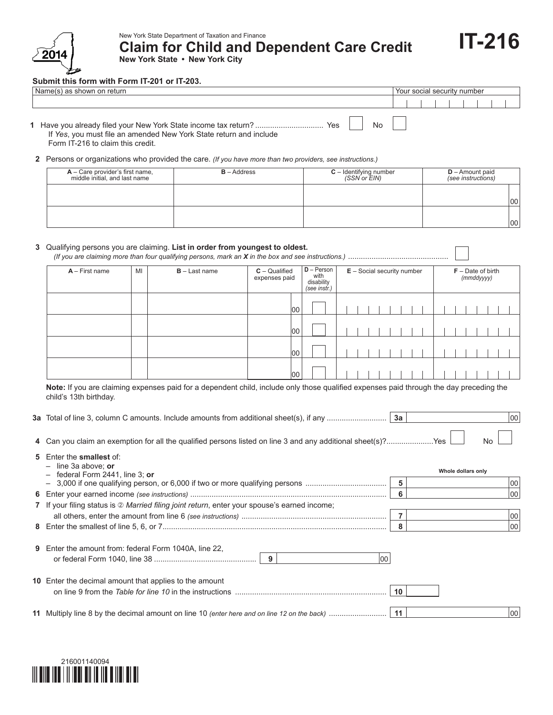

New York State Department of Taxation and Finance **Claim for Child and Dependent Care Credit New York State • New York City**

**Submit this form with Form IT-201 or IT-203.**

| Name(s) as shown on return                                                                                                | Your social security number |  |  |  |
|---------------------------------------------------------------------------------------------------------------------------|-----------------------------|--|--|--|
|                                                                                                                           |                             |  |  |  |
| N <sub>0</sub><br>If Yes, you must file an amended New York State return and include<br>Form IT-216 to claim this credit. |                             |  |  |  |

**IT-216**

**2** Persons or organizations who provided the care. *(If you have more than two providers, see instructions.)*

| $A -$ Care provider's first name,<br>middle initial, and last name | $B - Address$ | <b>C</b> – Identifying number (SSN or $EIN$ ) | $D -$ Amount paid<br>(see instructions) |
|--------------------------------------------------------------------|---------------|-----------------------------------------------|-----------------------------------------|
|                                                                    |               |                                               | 100                                     |
|                                                                    |               |                                               | 100                                     |

## **3** Qualifying persons you are claiming. **List in order from youngest to oldest.**

*(If you are claiming more than four qualifying persons, mark an X in the box and see instructions.)* ...............................................

| $A$ – First name | MI | $B - Last name$ | $C -$ Qualified<br>expenses paid | $D - Person$<br>with<br>disability<br>(see instr.) | $E -$ Social security number | $F - Date$ of birth<br>$(mm$ ddyyyy) |
|------------------|----|-----------------|----------------------------------|----------------------------------------------------|------------------------------|--------------------------------------|
|                  |    |                 | 00                               |                                                    |                              |                                      |
|                  |    |                 | 00                               |                                                    |                              |                                      |
|                  |    |                 | 00                               |                                                    |                              |                                      |
|                  |    |                 | 00                               |                                                    |                              |                                      |

Note: If you are claiming expenses paid for a dependent child, include only those qualified expenses paid through the day preceding the child's 13th birthday.

|  | 3a |  | 00 |
|--|----|--|----|
|--|----|--|----|

|  | 4 Can you claim an exemption for all the qualified persons listed on line 3 and any additional sheet(s)?Yes |  | <b>No</b> |
|--|-------------------------------------------------------------------------------------------------------------|--|-----------|
|--|-------------------------------------------------------------------------------------------------------------|--|-----------|

| 5 Enter the smallest of:<br>$-$ line 3a above; or                                                                 |    | Whole dollars only |
|-------------------------------------------------------------------------------------------------------------------|----|--------------------|
| $-$ federal Form 2441, line 3; or<br>- 3,000 if one qualifying person, or 6,000 if two or more qualifying persons | 5  | 00                 |
|                                                                                                                   | 6  | 100                |
| 7 If your filing status is 2 Married filing joint return, enter your spouse's earned income;                      |    |                    |
|                                                                                                                   |    | 00                 |
|                                                                                                                   | 8  | 100                |
| <b>9</b> Enter the amount from: federal Form 1040A, line 22,                                                      |    |                    |
| 10 Enter the decimal amount that applies to the amount                                                            | 10 |                    |
|                                                                                                                   |    | 00                 |